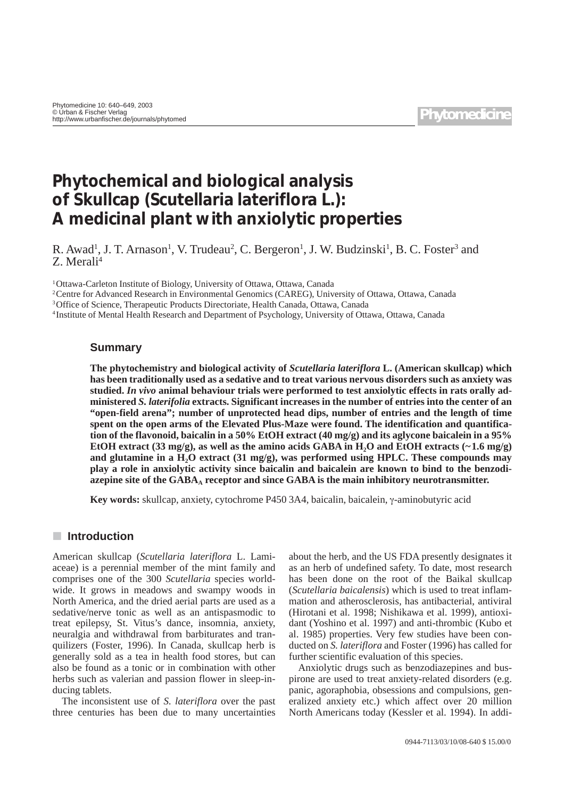# **Phytochemical and biological analysis of Skullcap (***Scutellaria lateriflora* **L.): A medicinal plant with anxiolytic properties**

R. Awad<sup>1</sup>, J. T. Arnason<sup>1</sup>, V. Trudeau<sup>2</sup>, C. Bergeron<sup>1</sup>, J. W. Budzinski<sup>1</sup>, B. C. Foster<sup>3</sup> and Z. Merali4

<sup>1</sup>Ottawa-Carleton Institute of Biology, University of Ottawa, Ottawa, Canada

2Centre for Advanced Research in Environmental Genomics (CAREG), University of Ottawa, Ottawa, Canada

3Office of Science, Therapeutic Products Directoriate, Health Canada, Ottawa, Canada

<sup>4</sup> Institute of Mental Health Research and Department of Psychology, University of Ottawa, Ottawa, Canada

# **Summary**

**The phytochemistry and biological activity of** *Scutellaria lateriflora* **L. (American skullcap) which has been traditionally used as a sedative and to treat various nervous disorders such as anxiety was studied.** *In vivo* **animal behaviour trials were performed to test anxiolytic effects in rats orally administered** *S. laterifolia* **extracts. Significant increases in the number of entries into the center of an "open-field arena"; number of unprotected head dips, number of entries and the length of time spent on the open arms of the Elevated Plus-Maze were found. The identification and quantification of the flavonoid, baicalin in a 50% EtOH extract (40 mg/g) and its aglycone baicalein in a 95% EtOH extract (33 mg/g), as well as the amino acids GABA in H<sub>2</sub>O and EtOH extracts (** $\sim$  **1.6 mg/g)** and glutamine in a H<sub>2</sub>O extract (31 mg/g), was performed using HPLC. These compounds may **play a role in anxiolytic activity since baicalin and baicalein are known to bind to the benzodiazepine site of the GABAA receptor and since GABA is the main inhibitory neurotransmitter.**

**Key words:** skullcap, anxiety, cytochrome P450 3A4, baicalin, baicalein, γ-aminobutyric acid

# **Introduction**

American skullcap (*Scutellaria lateriflora* L. Lamiaceae) is a perennial member of the mint family and comprises one of the 300 *Scutellaria* species worldwide. It grows in meadows and swampy woods in North America, and the dried aerial parts are used as a sedative/nerve tonic as well as an antispasmodic to treat epilepsy, St. Vitus's dance, insomnia, anxiety, neuralgia and withdrawal from barbiturates and tranquilizers (Foster, 1996). In Canada, skullcap herb is generally sold as a tea in health food stores, but can also be found as a tonic or in combination with other herbs such as valerian and passion flower in sleep-inducing tablets.

The inconsistent use of *S. lateriflora* over the past three centuries has been due to many uncertainties

about the herb, and the US FDA presently designates it as an herb of undefined safety. To date, most research has been done on the root of the Baikal skullcap (*Scutellaria baicalensis*) which is used to treat inflammation and atherosclerosis, has antibacterial, antiviral (Hirotani et al. 1998; Nishikawa et al. 1999), antioxidant (Yoshino et al. 1997) and anti-thrombic (Kubo et al. 1985) properties. Very few studies have been conducted on *S. lateriflora* and Foster (1996) has called for further scientific evaluation of this species.

Anxiolytic drugs such as benzodiazepines and buspirone are used to treat anxiety-related disorders (e.g. panic, agoraphobia, obsessions and compulsions, generalized anxiety etc.) which affect over 20 million North Americans today (Kessler et al. 1994). In addi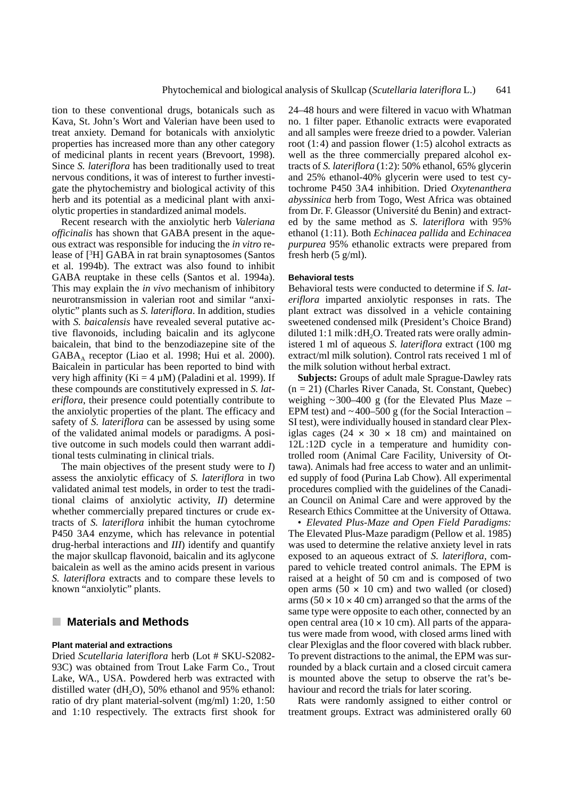tion to these conventional drugs, botanicals such as Kava, St. John's Wort and Valerian have been used to treat anxiety. Demand for botanicals with anxiolytic properties has increased more than any other category of medicinal plants in recent years (Brevoort, 1998). Since *S. lateriflora* has been traditionally used to treat nervous conditions, it was of interest to further investigate the phytochemistry and biological activity of this herb and its potential as a medicinal plant with anxiolytic properties in standardized animal models.

Recent research with the anxiolytic herb *Valeriana officinalis* has shown that GABA present in the aqueous extract was responsible for inducing the *in vitro* release of [3 H] GABA in rat brain synaptosomes (Santos et al. 1994b). The extract was also found to inhibit GABA reuptake in these cells (Santos et al. 1994a). This may explain the *in vivo* mechanism of inhibitory neurotransmission in valerian root and similar "anxiolytic" plants such as *S. lateriflora*. In addition, studies with *S. baicalensis* have revealed several putative active flavonoids, including baicalin and its aglycone baicalein, that bind to the benzodiazepine site of the  $GABA<sub>A</sub>$  receptor (Liao et al. 1998; Hui et al. 2000). Baicalein in particular has been reported to bind with very high affinity ( $Ki = 4 \mu M$ ) (Paladini et al. 1999). If these compounds are constitutively expressed in *S. lateriflora*, their presence could potentially contribute to the anxiolytic properties of the plant. The efficacy and safety of *S. lateriflora* can be assessed by using some of the validated animal models or paradigms. A positive outcome in such models could then warrant additional tests culminating in clinical trials.

The main objectives of the present study were to *I*) assess the anxiolytic efficacy of *S. lateriflora* in two validated animal test models, in order to test the traditional claims of anxiolytic activity, *II*) determine whether commercially prepared tinctures or crude extracts of *S. lateriflora* inhibit the human cytochrome P450 3A4 enzyme, which has relevance in potential drug-herbal interactions and *III*) identify and quantify the major skullcap flavonoid, baicalin and its aglycone baicalein as well as the amino acids present in various *S. lateriflora* extracts and to compare these levels to known "anxiolytic" plants.

## **Materials and Methods**

#### **Plant material and extractions**

Dried *Scutellaria lateriflora* herb (Lot # SKU-S2082- 93C) was obtained from Trout Lake Farm Co., Trout Lake, WA., USA. Powdered herb was extracted with distilled water (dH<sub>2</sub>O), 50% ethanol and 95% ethanol: ratio of dry plant material-solvent (mg/ml) 1:20, 1:50 and 1:10 respectively. The extracts first shook for 24–48 hours and were filtered in vacuo with Whatman no. 1 filter paper. Ethanolic extracts were evaporated and all samples were freeze dried to a powder. Valerian root (1:4) and passion flower (1:5) alcohol extracts as well as the three commercially prepared alcohol extracts of *S. lateriflora* (1:2): 50% ethanol, 65% glycerin and 25% ethanol-40% glycerin were used to test cytochrome P450 3A4 inhibition. Dried *Oxytenanthera abyssinica* herb from Togo, West Africa was obtained from Dr. F. Gleassor (Université du Benin) and extracted by the same method as *S. lateriflora* with 95% ethanol (1:11). Both *Echinacea pallida* and *Echinacea purpurea* 95% ethanolic extracts were prepared from fresh herb (5 g/ml).

#### **Behavioral tests**

Behavioral tests were conducted to determine if *S. lateriflora* imparted anxiolytic responses in rats. The plant extract was dissolved in a vehicle containing sweetened condensed milk (President's Choice Brand) diluted 1:1 milk: $dH_2O$ . Treated rats were orally administered 1 ml of aqueous *S. lateriflora* extract (100 mg extract/ml milk solution). Control rats received 1 ml of the milk solution without herbal extract.

**Subjects:** Groups of adult male Sprague-Dawley rats (n = 21) (Charles River Canada, St. Constant, Quebec) weighing  $\sim$  300–400 g (for the Elevated Plus Maze – EPM test) and  $\sim$  400–500 g (for the Social Interaction – SI test), were individually housed in standard clear Plexiglas cages  $(24 \times 30 \times 18$  cm) and maintained on 12L :12D cycle in a temperature and humidity controlled room (Animal Care Facility, University of Ottawa). Animals had free access to water and an unlimited supply of food (Purina Lab Chow). All experimental procedures complied with the guidelines of the Canadian Council on Animal Care and were approved by the Research Ethics Committee at the University of Ottawa.

• *Elevated Plus-Maze and Open Field Paradigms:* The Elevated Plus-Maze paradigm (Pellow et al. 1985) was used to determine the relative anxiety level in rats exposed to an aqueous extract of *S. lateriflora*, compared to vehicle treated control animals. The EPM is raised at a height of 50 cm and is composed of two open arms  $(50 \times 10 \text{ cm})$  and two walled (or closed) arms  $(50 \times 10 \times 40 \text{ cm})$  arranged so that the arms of the same type were opposite to each other, connected by an open central area ( $10 \times 10$  cm). All parts of the apparatus were made from wood, with closed arms lined with clear Plexiglas and the floor covered with black rubber. To prevent distractions to the animal, the EPM was surrounded by a black curtain and a closed circuit camera is mounted above the setup to observe the rat's behaviour and record the trials for later scoring.

Rats were randomly assigned to either control or treatment groups. Extract was administered orally 60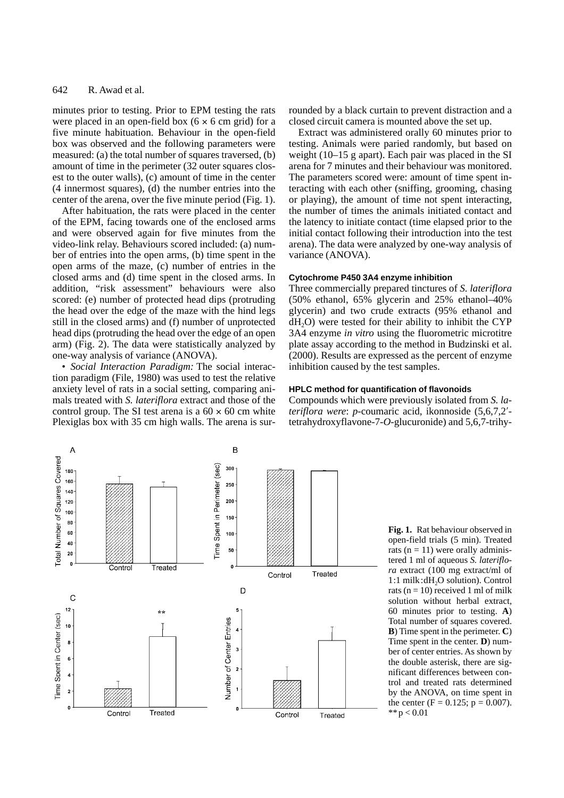### 642 R. Awad et al.

minutes prior to testing. Prior to EPM testing the rats were placed in an open-field box  $(6 \times 6 \text{ cm grid})$  for a five minute habituation. Behaviour in the open-field box was observed and the following parameters were measured: (a) the total number of squares traversed, (b) amount of time in the perimeter (32 outer squares closest to the outer walls), (c) amount of time in the center (4 innermost squares), (d) the number entries into the center of the arena, over the five minute period (Fig. 1).

After habituation, the rats were placed in the center of the EPM, facing towards one of the enclosed arms and were observed again for five minutes from the video-link relay. Behaviours scored included: (a) number of entries into the open arms, (b) time spent in the open arms of the maze, (c) number of entries in the closed arms and (d) time spent in the closed arms. In addition, "risk assessment" behaviours were also scored: (e) number of protected head dips (protruding the head over the edge of the maze with the hind legs still in the closed arms) and (f) number of unprotected head dips (protruding the head over the edge of an open arm) (Fig. 2). The data were statistically analyzed by one-way analysis of variance (ANOVA).

• *Social Interaction Paradigm:* The social interaction paradigm (File, 1980) was used to test the relative anxiety level of rats in a social setting, comparing animals treated with *S. lateriflora* extract and those of the control group. The SI test arena is a  $60 \times 60$  cm white Plexiglas box with 35 cm high walls. The arena is sur-

rounded by a black curtain to prevent distraction and a closed circuit camera is mounted above the set up.

Extract was administered orally 60 minutes prior to testing. Animals were paried randomly, but based on weight (10–15 g apart). Each pair was placed in the SI arena for 7 minutes and their behaviour was monitored. The parameters scored were: amount of time spent interacting with each other (sniffing, grooming, chasing or playing), the amount of time not spent interacting, the number of times the animals initiated contact and the latency to initiate contact (time elapsed prior to the initial contact following their introduction into the test arena). The data were analyzed by one-way analysis of variance (ANOVA).

### **Cytochrome P450 3A4 enzyme inhibition**

Three commercially prepared tinctures of *S. lateriflora* (50% ethanol, 65% glycerin and 25% ethanol–40% glycerin) and two crude extracts (95% ethanol and  $dH_2O$ ) were tested for their ability to inhibit the CYP 3A4 enzyme *in vitro* using the fluorometric microtitre plate assay according to the method in Budzinski et al. (2000). Results are expressed as the percent of enzyme inhibition caused by the test samples.

#### **HPLC method for quantification of flavonoids**

Compounds which were previously isolated from *S. lateriflora were*: *p*-coumaric acid, ikonnoside (5,6,7,2′ tetrahydroxyflavone-7-*O*-glucuronide) and 5,6,7-trihy-



**Fig. 1.** Rat behaviour observed in open-field trials (5 min). Treated rats ( $n = 11$ ) were orally administered 1 ml of aqueous *S. lateriflora* extract (100 mg extract/ml of 1:1 milk:dH<sub>2</sub>O solution). Control rats ( $n = 10$ ) received 1 ml of milk solution without herbal extract, 60 minutes prior to testing. **A**) Total number of squares covered. **B**) Time spent in the perimeter. **C**) Time spent in the center. **D**) number of center entries. As shown by the double asterisk, there are significant differences between control and treated rats determined by the ANOVA, on time spent in the center (F = 0.125; p = 0.007). \*\*p  $< 0.01$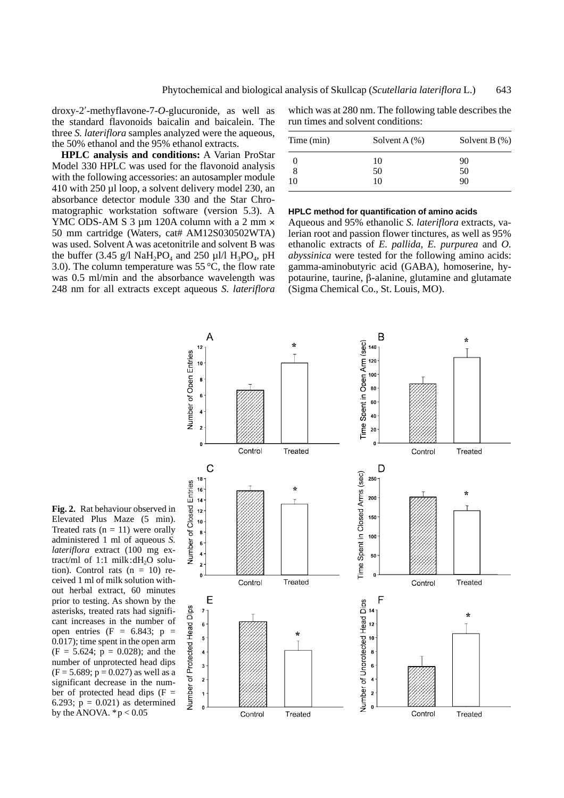droxy-2′-methyflavone-7-*O*-glucuronide, as well as the standard flavonoids baicalin and baicalein. The three *S. lateriflora* samples analyzed were the aqueous, the 50% ethanol and the 95% ethanol extracts.

**HPLC analysis and conditions:** A Varian ProStar Model 330 HPLC was used for the flavonoid analysis with the following accessories: an autosampler module 410 with 250 µl loop, a solvent delivery model 230, an absorbance detector module 330 and the Star Chromatographic workstation software (version 5.3). A YMC ODS-AM S 3 µm 120A column with a 2 mm  $\times$ 50 mm cartridge (Waters, cat# AM12S030502WTA) was used. Solvent A was acetonitrile and solvent B was the buffer (3.45 g/l NaH<sub>2</sub>PO<sub>4</sub> and 250 µl/l H<sub>3</sub>PO<sub>4</sub>, pH 3.0). The column temperature was 55  $\degree$ C, the flow rate was 0.5 ml/min and the absorbance wavelength was 248 nm for all extracts except aqueous *S. lateriflora*

which was at 280 nm. The following table describes the run times and solvent conditions:

| Time (min) | Solvent A $(\% )$ | Solvent B $(\%)$ |
|------------|-------------------|------------------|
|            | 10                | 90               |
|            | 50                | 50               |
| 10         | 10                | 90               |

#### **HPLC method for quantification of amino acids**

Aqueous and 95% ethanolic *S. lateriflora* extracts, valerian root and passion flower tinctures, as well as 95% ethanolic extracts of *E. pallida*, *E. purpurea* and *O. abyssinica* were tested for the following amino acids: gamma-aminobutyric acid (GABA), homoserine, hypotaurine, taurine, β-alanine, glutamine and glutamate (Sigma Chemical Co., St. Louis, MO).



**Fig. 2.** Rat behaviour observed in Elevated Plus Maze (5 min). Treated rats  $(n = 11)$  were orally administered 1 ml of aqueous *S. lateriflora* extract (100 mg extract/ml of 1:1 milk: $dH<sub>2</sub>O$  solution). Control rats  $(n = 10)$  received 1 ml of milk solution without herbal extract, 60 minutes prior to testing. As shown by the asterisks, treated rats had significant increases in the number of open entries  $(F = 6.843; p =$ 0.017); time spent in the open arm  $(F = 5.624; p = 0.028)$ ; and the number of unprotected head dips  $(F = 5.689; p = 0.027)$  as well as a significant decrease in the number of protected head dips  $(F =$ 6.293;  $p = 0.021$ ) as determined by the ANOVA.  $*p < 0.05$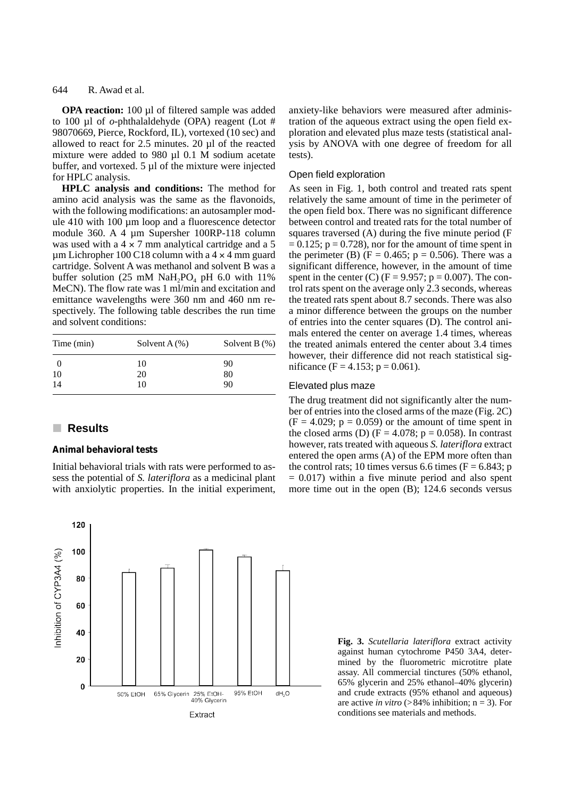#### 644 R. Awad et al.

**OPA reaction:** 100 µl of filtered sample was added to 100 µl of *o*-phthalaldehyde (OPA) reagent (Lot # 98070669, Pierce, Rockford, IL), vortexed (10 sec) and allowed to react for 2.5 minutes. 20 µl of the reacted mixture were added to 980 µl 0.1 M sodium acetate buffer, and vortexed. 5 µl of the mixture were injected for HPLC analysis.

**HPLC analysis and conditions:** The method for amino acid analysis was the same as the flavonoids, with the following modifications: an autosampler module 410 with 100 µm loop and a fluorescence detector module 360. A 4 µm Supersher 100RP-118 column was used with a  $4 \times 7$  mm analytical cartridge and a 5  $\mu$ m Lichropher 100 C18 column with a 4  $\times$  4 mm guard cartridge. Solvent A was methanol and solvent B was a buffer solution (25 mM NaH<sub>2</sub>PO<sub>4</sub> pH 6.0 with 11% MeCN). The flow rate was 1 ml/min and excitation and emittance wavelengths were 360 nm and 460 nm respectively. The following table describes the run time and solvent conditions:

| Solvent B $(\%)$<br>Solvent A $(\% )$ |
|---------------------------------------|
| 90<br>10                              |
| 20<br>80                              |
| 90<br>10                              |
|                                       |

## **Results**

#### **Animal behavioral tests**

Initial behavioral trials with rats were performed to assess the potential of *S. lateriflora* as a medicinal plant with anxiolytic properties. In the initial experiment,



anxiety-like behaviors were measured after administration of the aqueous extract using the open field exploration and elevated plus maze tests (statistical analysis by ANOVA with one degree of freedom for all tests).

#### Open field exploration

As seen in Fig. 1, both control and treated rats spent relatively the same amount of time in the perimeter of the open field box. There was no significant difference between control and treated rats for the total number of squares traversed (A) during the five minute period (F  $= 0.125$ ;  $p = 0.728$ ), nor for the amount of time spent in the perimeter (B) (F = 0.465; p = 0.506). There was a significant difference, however, in the amount of time spent in the center (C) (F = 9.957; p = 0.007). The control rats spent on the average only 2.3 seconds, whereas the treated rats spent about 8.7 seconds. There was also a minor difference between the groups on the number of entries into the center squares (D). The control animals entered the center on average 1.4 times, whereas the treated animals entered the center about 3.4 times however, their difference did not reach statistical significance (F = 4.153; p = 0.061).

#### Elevated plus maze

The drug treatment did not significantly alter the number of entries into the closed arms of the maze (Fig. 2C)  $(F = 4.029; p = 0.059)$  or the amount of time spent in the closed arms (D) ( $F = 4.078$ ;  $p = 0.058$ ). In contrast however, rats treated with aqueous *S. lateriflora* extract entered the open arms (A) of the EPM more often than the control rats; 10 times versus 6.6 times ( $F = 6.843$ ; p  $= 0.017$ ) within a five minute period and also spent more time out in the open (B); 124.6 seconds versus

**Fig. 3.** *Scutellaria lateriflora* extract activity against human cytochrome P450 3A4, determined by the fluorometric microtitre plate assay. All commercial tinctures (50% ethanol, 65% glycerin and 25% ethanol–40% glycerin) and crude extracts (95% ethanol and aqueous) are active *in vitro* ( $>84\%$  inhibition; n = 3). For conditions see materials and methods.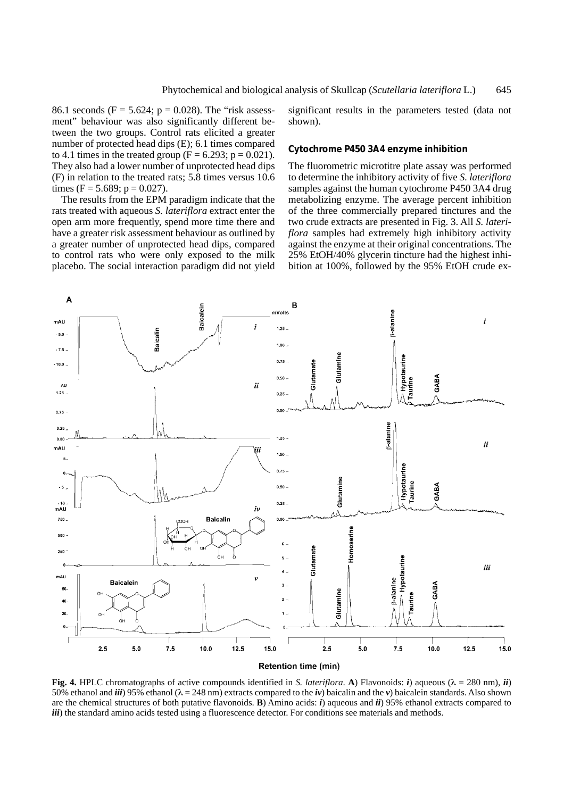86.1 seconds (F = 5.624; p = 0.028). The "risk assessment" behaviour was also significantly different between the two groups. Control rats elicited a greater number of protected head dips (E); 6.1 times compared to 4.1 times in the treated group ( $F = 6.293$ ;  $p = 0.021$ ). They also had a lower number of unprotected head dips (F) in relation to the treated rats; 5.8 times versus 10.6 times (F = 5.689; p = 0.027).

The results from the EPM paradigm indicate that the rats treated with aqueous *S. lateriflora* extract enter the open arm more frequently, spend more time there and have a greater risk assessment behaviour as outlined by a greater number of unprotected head dips, compared to control rats who were only exposed to the milk placebo. The social interaction paradigm did not yield significant results in the parameters tested (data not shown).

#### **Cytochrome P450 3A4 enzyme inhibition**

The fluorometric microtitre plate assay was performed to determine the inhibitory activity of five *S. lateriflora* samples against the human cytochrome P450 3A4 drug metabolizing enzyme. The average percent inhibition of the three commercially prepared tinctures and the two crude extracts are presented in Fig. 3. All *S. lateriflora* samples had extremely high inhibitory activity against the enzyme at their original concentrations. The 25% EtOH/40% glycerin tincture had the highest inhibition at 100%, followed by the 95% EtOH crude ex-



**Fig. 4.** HPLC chromatographs of active compounds identified in *S. lateriflora*. **A**) Flavonoids: *i*) aqueous ( $\lambda = 280$  nm), *ii*) 50% ethanol and *iii*) 95% ethanol ( $\lambda = 248$  nm) extracts compared to the *iv*) baicalin and the *v*) baicalein standards. Also shown are the chemical structures of both putative flavonoids. **B**) Amino acids: *i*) aqueous and *ii*) 95% ethanol extracts compared to *iii*) the standard amino acids tested using a fluorescence detector. For conditions see materials and methods.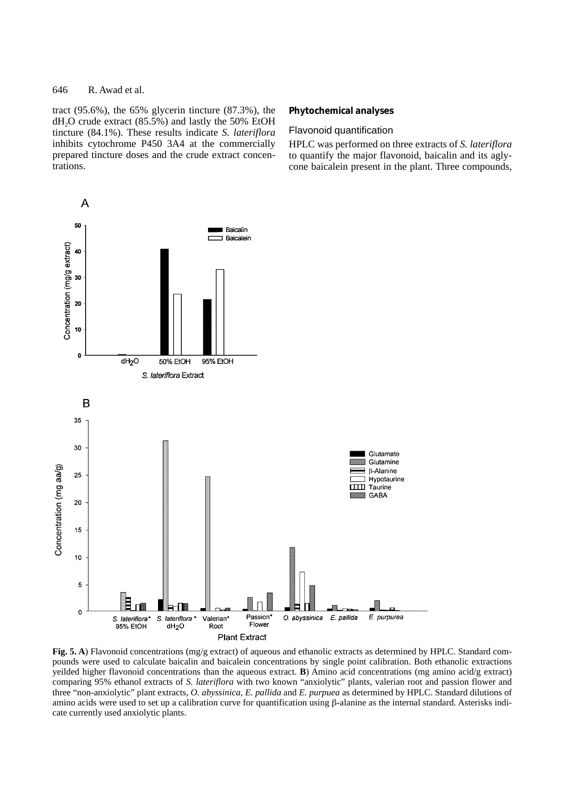646 R. Awad et al.

tract  $(95.6\%)$ , the 65% glycerin tincture  $(87.3\%)$ , the  $dH<sub>2</sub>O$  crude extract (85.5%) and lastly the 50% EtOH tincture (84.1%). These results indicate *S. lateriflora* inhibits cytochrome P450 3A4 at the commercially prepared tincture doses and the crude extract concentrations.

#### **Phytochemical analyses**

Flavonoid quantification

HPLC was performed on three extracts of *S. lateriflora* to quantify the major flavonoid, baicalin and its aglycone baicalein present in the plant. Three compounds,



**Fig. 5. A**) Flavonoid concentrations (mg/g extract) of aqueous and ethanolic extracts as determined by HPLC. Standard compounds were used to calculate baicalin and baicalein concentrations by single point calibration. Both ethanolic extractions yeilded higher flavonoid concentrations than the aqueous extract. **B**) Amino acid concentrations (mg amino acid/g extract) comparing 95% ethanol extracts of *S. lateriflora* with two known "anxiolytic" plants, valerian root and passion flower and three "non-anxiolytic" plant extracts, *O. abyssinica*, *E. pallida* and *E. purpuea* as determined by HPLC. Standard dilutions of amino acids were used to set up a calibration curve for quantification using β-alanine as the internal standard. Asterisks indicate currently used anxiolytic plants.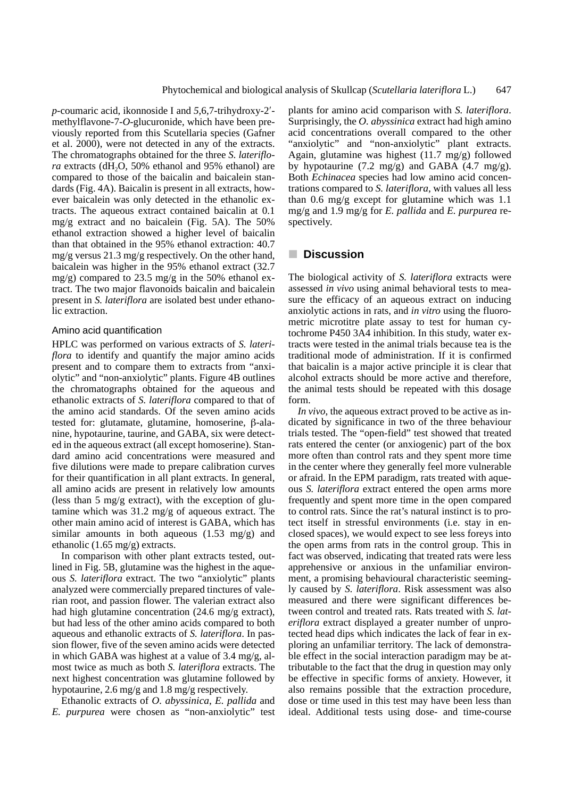*p-*coumaric acid, ikonnoside I and *5*,6,7-trihydroxy-2′ methylflavone-7-*O*-glucuronide, which have been previously reported from this Scutellaria species (Gafner et al. 2000), were not detected in any of the extracts. The chromatographs obtained for the three *S. lateriflo* $ra$  extracts (dH<sub>2</sub>O, 50% ethanol and 95% ethanol) are compared to those of the baicalin and baicalein standards (Fig. 4A). Baicalin is present in all extracts, however baicalein was only detected in the ethanolic extracts. The aqueous extract contained baicalin at 0.1 mg/g extract and no baicalein (Fig. 5A). The 50% ethanol extraction showed a higher level of baicalin than that obtained in the 95% ethanol extraction: 40.7 mg/g versus 21.3 mg/g respectively. On the other hand, baicalein was higher in the 95% ethanol extract (32.7 mg/g) compared to 23.5 mg/g in the 50% ethanol extract. The two major flavonoids baicalin and baicalein present in *S. lateriflora* are isolated best under ethanolic extraction.

#### Amino acid quantification

HPLC was performed on various extracts of *S. lateriflora* to identify and quantify the major amino acids present and to compare them to extracts from "anxiolytic" and "non-anxiolytic" plants. Figure 4B outlines the chromatographs obtained for the aqueous and ethanolic extracts of *S. lateriflora* compared to that of the amino acid standards. Of the seven amino acids tested for: glutamate, glutamine, homoserine, β-alanine, hypotaurine, taurine, and GABA, six were detected in the aqueous extract (all except homoserine). Standard amino acid concentrations were measured and five dilutions were made to prepare calibration curves for their quantification in all plant extracts. In general, all amino acids are present in relatively low amounts (less than 5 mg/g extract), with the exception of glutamine which was 31.2 mg/g of aqueous extract. The other main amino acid of interest is GABA, which has similar amounts in both aqueous  $(1.53 \text{ mg/g})$  and ethanolic (1.65 mg/g) extracts.

In comparison with other plant extracts tested, outlined in Fig. 5B, glutamine was the highest in the aqueous *S. lateriflora* extract. The two "anxiolytic" plants analyzed were commercially prepared tinctures of valerian root, and passion flower. The valerian extract also had high glutamine concentration (24.6 mg/g extract), but had less of the other amino acids compared to both aqueous and ethanolic extracts of *S. lateriflora*. In passion flower, five of the seven amino acids were detected in which GABA was highest at a value of 3.4 mg/g, almost twice as much as both *S. lateriflora* extracts. The next highest concentration was glutamine followed by hypotaurine, 2.6 mg/g and 1.8 mg/g respectively.

Ethanolic extracts of *O. abyssinica*, *E. pallida* and *E. purpurea* were chosen as "non-anxiolytic" test plants for amino acid comparison with *S. lateriflora*. Surprisingly, the *O. abyssinica* extract had high amino acid concentrations overall compared to the other "anxiolytic" and "non-anxiolytic" plant extracts. Again, glutamine was highest (11.7 mg/g) followed by hypotaurine  $(7.2 \text{ mg/g})$  and GABA  $(4.7 \text{ mg/g})$ . Both *Echinacea* species had low amino acid concentrations compared to *S. lateriflora*, with values all less than 0.6 mg/g except for glutamine which was 1.1 mg/g and 1.9 mg/g for *E. pallida* and *E. purpurea* respectively.

## **Discussion**

The biological activity of *S. lateriflora* extracts were assessed *in vivo* using animal behavioral tests to measure the efficacy of an aqueous extract on inducing anxiolytic actions in rats, and *in vitro* using the fluorometric microtitre plate assay to test for human cytochrome P450 3A4 inhibition. In this study, water extracts were tested in the animal trials because tea is the traditional mode of administration. If it is confirmed that baicalin is a major active principle it is clear that alcohol extracts should be more active and therefore, the animal tests should be repeated with this dosage form.

*In vivo*, the aqueous extract proved to be active as indicated by significance in two of the three behaviour trials tested. The "open-field" test showed that treated rats entered the center (or anxiogenic) part of the box more often than control rats and they spent more time in the center where they generally feel more vulnerable or afraid. In the EPM paradigm, rats treated with aqueous *S. lateriflora* extract entered the open arms more frequently and spent more time in the open compared to control rats. Since the rat's natural instinct is to protect itself in stressful environments (i.e. stay in enclosed spaces), we would expect to see less foreys into the open arms from rats in the control group. This in fact was observed, indicating that treated rats were less apprehensive or anxious in the unfamiliar environment, a promising behavioural characteristic seemingly caused by *S. lateriflora*. Risk assessment was also measured and there were significant differences between control and treated rats. Rats treated with *S. lateriflora* extract displayed a greater number of unprotected head dips which indicates the lack of fear in exploring an unfamiliar territory. The lack of demonstrable effect in the social interaction paradigm may be attributable to the fact that the drug in question may only be effective in specific forms of anxiety. However, it also remains possible that the extraction procedure, dose or time used in this test may have been less than ideal. Additional tests using dose- and time-course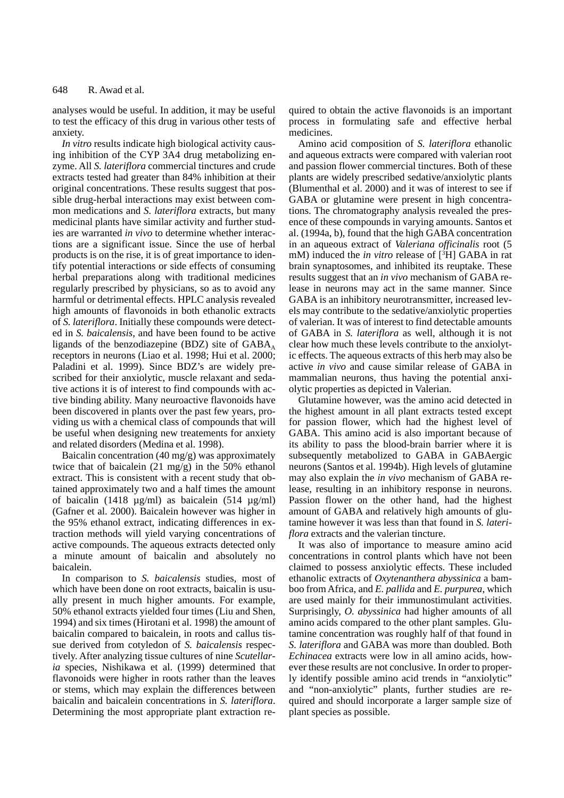analyses would be useful. In addition, it may be useful to test the efficacy of this drug in various other tests of anxiety.

*In vitro* results indicate high biological activity causing inhibition of the CYP 3A4 drug metabolizing enzyme. All *S. lateriflora* commercial tinctures and crude extracts tested had greater than 84% inhibition at their original concentrations. These results suggest that possible drug-herbal interactions may exist between common medications and *S. lateriflora* extracts, but many medicinal plants have similar activity and further studies are warranted *in vivo* to determine whether interactions are a significant issue. Since the use of herbal products is on the rise, it is of great importance to identify potential interactions or side effects of consuming herbal preparations along with traditional medicines regularly prescribed by physicians, so as to avoid any harmful or detrimental effects. HPLC analysis revealed high amounts of flavonoids in both ethanolic extracts of *S. lateriflora*. Initially these compounds were detected in *S. baicalensis*, and have been found to be active ligands of the benzodiazepine (BDZ) site of  $GABA_A$ receptors in neurons (Liao et al. 1998; Hui et al. 2000; Paladini et al. 1999). Since BDZ's are widely prescribed for their anxiolytic, muscle relaxant and sedative actions it is of interest to find compounds with active binding ability. Many neuroactive flavonoids have been discovered in plants over the past few years, providing us with a chemical class of compounds that will be useful when designing new treatements for anxiety and related disorders (Medina et al. 1998).

Baicalin concentration  $(40 \text{ mg/g})$  was approximately twice that of baicalein (21 mg/g) in the 50% ethanol extract. This is consistent with a recent study that obtained approximately two and a half times the amount of baicalin (1418  $\mu$ g/ml) as baicalein (514  $\mu$ g/ml) (Gafner et al. 2000). Baicalein however was higher in the 95% ethanol extract, indicating differences in extraction methods will yield varying concentrations of active compounds. The aqueous extracts detected only a minute amount of baicalin and absolutely no baicalein.

In comparison to *S. baicalensis* studies, most of which have been done on root extracts, baicalin is usually present in much higher amounts. For example, 50% ethanol extracts yielded four times (Liu and Shen, 1994) and six times (Hirotani et al. 1998) the amount of baicalin compared to baicalein, in roots and callus tissue derived from cotyledon of *S. baicalensis* respectively. After analyzing tissue cultures of nine *Scutellaria* species, Nishikawa et al. (1999) determined that flavonoids were higher in roots rather than the leaves or stems, which may explain the differences between baicalin and baicalein concentrations in *S. lateriflora*. Determining the most appropriate plant extraction re-

quired to obtain the active flavonoids is an important process in formulating safe and effective herbal medicines.

Amino acid composition of *S. lateriflora* ethanolic and aqueous extracts were compared with valerian root and passion flower commercial tinctures. Both of these plants are widely prescribed sedative/anxiolytic plants (Blumenthal et al. 2000) and it was of interest to see if GABA or glutamine were present in high concentrations. The chromatography analysis revealed the presence of these compounds in varying amounts. Santos et al. (1994a, b), found that the high GABA concentration in an aqueous extract of *Valeriana officinalis* root (5 mM) induced the *in vitro* release of [3 H] GABA in rat brain synaptosomes, and inhibited its reuptake. These results suggest that an *in vivo* mechanism of GABA release in neurons may act in the same manner. Since GABA is an inhibitory neurotransmitter, increased levels may contribute to the sedative/anxiolytic properties of valerian. It was of interest to find detectable amounts of GABA in *S. lateriflora* as well, although it is not clear how much these levels contribute to the anxiolytic effects. The aqueous extracts of this herb may also be active *in vivo* and cause similar release of GABA in mammalian neurons, thus having the potential anxiolytic properties as depicted in Valerian.

Glutamine however, was the amino acid detected in the highest amount in all plant extracts tested except for passion flower, which had the highest level of GABA. This amino acid is also important because of its ability to pass the blood-brain barrier where it is subsequently metabolized to GABA in GABAergic neurons (Santos et al. 1994b). High levels of glutamine may also explain the *in vivo* mechanism of GABA release, resulting in an inhibitory response in neurons. Passion flower on the other hand, had the highest amount of GABA and relatively high amounts of glutamine however it was less than that found in *S. lateriflora* extracts and the valerian tincture.

It was also of importance to measure amino acid concentrations in control plants which have not been claimed to possess anxiolytic effects. These included ethanolic extracts of *Oxytenanthera abyssinica* a bamboo from Africa, and *E. pallida* and *E. purpurea*, which are used mainly for their immunostimulant activities. Surprisingly, *O. abyssinica* had higher amounts of all amino acids compared to the other plant samples. Glutamine concentration was roughly half of that found in *S. lateriflora* and GABA was more than doubled. Both *Echinacea* extracts were low in all amino acids, however these results are not conclusive. In order to properly identify possible amino acid trends in "anxiolytic" and "non-anxiolytic" plants, further studies are required and should incorporate a larger sample size of plant species as possible.